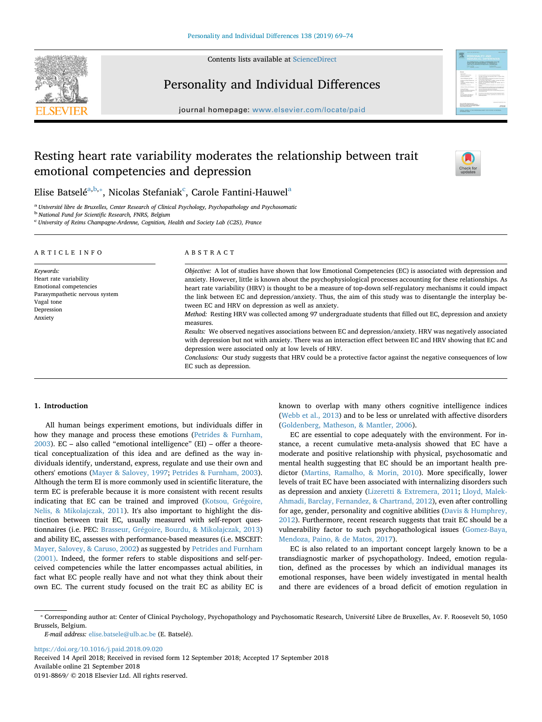Contents lists available at [ScienceDirect](http://www.sciencedirect.com/science/journal/01918869)





## Personality and Individual Differences

journal homepage: [www.elsevier.com/locate/paid](https://www.elsevier.com/locate/paid)

# Resting heart rate variability moderates the relationship between trait emotional competencies and depression



Elise B[a](#page-0-0)tselé $^{\mathrm{a,b},*}$ , Ni[c](#page-0-3)o[la](#page-0-0)s Stefaniak $^{\mathrm{c}}$ , Carole Fantini-Hauwel $^{\mathrm{a}}$ 

<span id="page-0-0"></span><sup>a</sup> *Université libre de Bruxelles, Center Research of Clinical Psychology, Psychopathology and Psychosomatic*

<span id="page-0-1"></span><sup>b</sup> *National Fund for Scientific Research, FNRS, Belgium*

<span id="page-0-3"></span>c *University of Reims Champagne-Ardenne, Cognition, Health and Society Lab (C2S), France*

| ARTICLE INFO                                                                                                                           | ABSTRACT                                                                                                                                                                                                                                                                                                                                                                                                                                                                                                                                                                                                                                                                                                                                                                                                                                                                                                                                                                                                                                                                                    |  |  |  |  |
|----------------------------------------------------------------------------------------------------------------------------------------|---------------------------------------------------------------------------------------------------------------------------------------------------------------------------------------------------------------------------------------------------------------------------------------------------------------------------------------------------------------------------------------------------------------------------------------------------------------------------------------------------------------------------------------------------------------------------------------------------------------------------------------------------------------------------------------------------------------------------------------------------------------------------------------------------------------------------------------------------------------------------------------------------------------------------------------------------------------------------------------------------------------------------------------------------------------------------------------------|--|--|--|--|
| Keywords:<br>Heart rate variability<br>Emotional competencies<br>Parasympathetic nervous system<br>Vagal tone<br>Depression<br>Anxiety | Objective: A lot of studies have shown that low Emotional Competencies (EC) is associated with depression and<br>anxiety. However, little is known about the psychophysiological processes accounting for these relationships. As<br>heart rate variability (HRV) is thought to be a measure of top-down self-regulatory mechanisms it could impact<br>the link between EC and depression/anxiety. Thus, the aim of this study was to disentangle the interplay be-<br>tween EC and HRV on depression as well as anxiety.<br>Method: Resting HRV was collected among 97 undergraduate students that filled out EC, depression and anxiety<br>measures.<br>Results: We observed negatives associations between EC and depression/anxiety. HRV was negatively associated<br>with depression but not with anxiety. There was an interaction effect between EC and HRV showing that EC and<br>depression were associated only at low levels of HRV.<br>Conclusions: Our study suggests that HRV could be a protective factor against the negative consequences of low<br>EC such as depression. |  |  |  |  |

## **1. Introduction**

All human beings experiment emotions, but individuals differ in how they manage and process these emotions [\(Petrides & Furnham,](#page-5-0) [2003\)](#page-5-0). EC – also called "emotional intelligence" (EI) – offer a theoretical conceptualization of this idea and are defined as the way individuals identify, understand, express, regulate and use their own and others' emotions [\(Mayer & Salovey, 1997;](#page-4-0) [Petrides & Furnham, 2003](#page-5-0)). Although the term EI is more commonly used in scientific literature, the term EC is preferable because it is more consistent with recent results indicating that EC can be trained and improved [\(Kotsou, Grégoire,](#page-4-1) [Nelis, & Mikolajczak, 2011](#page-4-1)). It's also important to highlight the distinction between trait EC, usually measured with self-report questionnaires (i.e. PEC: [Brasseur, Grégoire, Bourdu, & Mikolajczak, 2013\)](#page-4-2) and ability EC, assesses with performance-based measures (i.e. MSCEIT: [Mayer, Salovey, & Caruso, 2002\)](#page-4-3) as suggested by [Petrides and Furnham](#page-5-1) [\(2001\).](#page-5-1) Indeed, the former refers to stable dispositions and self-perceived competencies while the latter encompasses actual abilities, in fact what EC people really have and not what they think about their own EC. The current study focused on the trait EC as ability EC is

known to overlap with many others cognitive intelligence indices ([Webb et al., 2013](#page-5-2)) and to be less or unrelated with affective disorders ([Goldenberg, Matheson, & Mantler, 2006](#page-4-4)).

EC are essential to cope adequately with the environment. For instance, a recent cumulative meta-analysis showed that EC have a moderate and positive relationship with physical, psychosomatic and mental health suggesting that EC should be an important health predictor [\(Martins, Ramalho, & Morin, 2010](#page-4-5)). More specifically, lower levels of trait EC have been associated with internalizing disorders such as depression and anxiety [\(Lizeretti & Extremera, 2011;](#page-4-6) [Lloyd, Malek-](#page-4-7)[Ahmadi, Barclay, Fernandez, & Chartrand, 2012](#page-4-7)), even after controlling for age, gender, personality and cognitive abilities ([Davis & Humphrey,](#page-4-8) [2012\)](#page-4-8). Furthermore, recent research suggests that trait EC should be a vulnerability factor to such psychopathological issues [\(Gomez-Baya,](#page-4-9) [Mendoza, Paino, & de Matos, 2017\)](#page-4-9).

EC is also related to an important concept largely known to be a transdiagnostic marker of psychopathology. Indeed, emotion regulation, defined as the processes by which an individual manages its emotional responses, have been widely investigated in mental health and there are evidences of a broad deficit of emotion regulation in

*E-mail address:* [elise.batsele@ulb.ac.be](mailto:elise.batsele@ulb.ac.be) (E. Batselé).

<https://doi.org/10.1016/j.paid.2018.09.020> Received 14 April 2018; Received in revised form 12 September 2018; Accepted 17 September 2018 Available online 21 September 2018

0191-8869/ @ 2018 Elsevier Ltd. All rights reserved.

<span id="page-0-2"></span><sup>⁎</sup> Corresponding author at: Center of Clinical Psychology, Psychopathology and Psychosomatic Research, Université Libre de Bruxelles, Av. F. Roosevelt 50, 1050 Brussels, Belgium.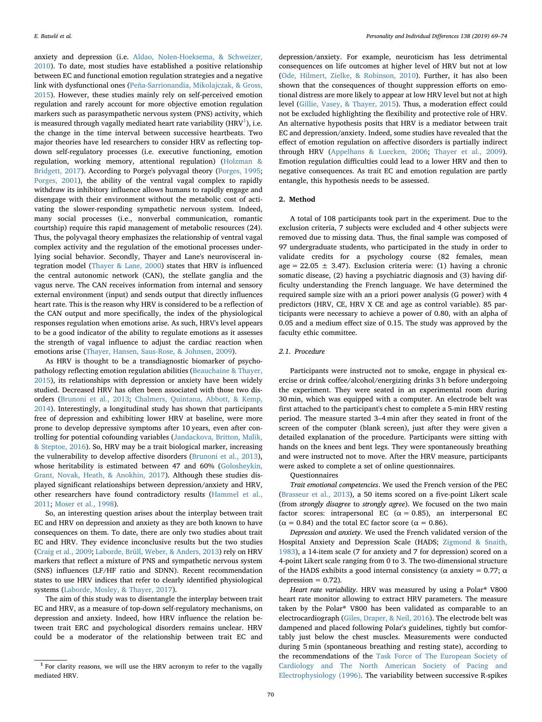anxiety and depression (i.e. [Aldao, Nolen-Hoeksema, & Schweizer,](#page-4-10) [2010\)](#page-4-10). To date, most studies have established a positive relationship between EC and functional emotion regulation strategies and a negative link with dysfunctional ones ([Peña-Sarrionandia, Mikolajczak, & Gross,](#page-5-3) [2015\)](#page-5-3). However, these studies mainly rely on self-perceived emotion regulation and rarely account for more objective emotion regulation markers such as parasympathetic nervous system (PNS) activity, which is measured through vagally mediated heart rate variability (HRV $^{\rm 1}$ ), i.e. the change in the time interval between successive heartbeats. Two major theories have led researchers to consider HRV as reflecting topdown self-regulatory processes (i.e. executive functioning, emotion regulation, working memory, attentional regulation) ([Holzman &](#page-4-11) [Bridgett, 2017](#page-4-11)). According to Porge's polyvagal theory ([Porges, 1995](#page-5-4); [Porges, 2001\)](#page-5-5), the ability of the ventral vagal complex to rapidly withdraw its inhibitory influence allows humans to rapidly engage and disengage with their environment without the metabolic cost of activating the slower-responding sympathetic nervous system. Indeed, many social processes (i.e., nonverbal communication, romantic courtship) require this rapid management of metabolic resources (24). Thus, the polyvagal theory emphasizes the relationship of ventral vagal complex activity and the regulation of the emotional processes underlying social behavior. Secondly, Thayer and Lane's neurovisceral integration model ([Thayer & Lane, 2000](#page-5-6)) states that HRV is influenced the central autonomic network (CAN), the stellate ganglia and the vagus nerve. The CAN receives information from internal and sensory external environment (input) and sends output that directly influences heart rate. This is the reason why HRV is considered to be a reflection of the CAN output and more specifically, the index of the physiological responses regulation when emotions arise. As such, HRV's level appears to be a good indicator of the ability to regulate emotions as it assesses the strength of vagal influence to adjust the cardiac reaction when emotions arise ([Thayer, Hansen, Saus-Rose, & Johnsen, 2009](#page-5-7)).

As HRV is thought to be a transdiagnostic biomarker of psychopathology reflecting emotion regulation abilities ([Beauchaine & Thayer,](#page-4-12) [2015\)](#page-4-12), its relationships with depression or anxiety have been widely studied. Decreased HRV has often been associated with those two disorders ([Brunoni et al., 2013](#page-4-13); [Chalmers, Quintana, Abbott, & Kemp,](#page-4-14) [2014\)](#page-4-14). Interestingly, a longitudinal study has shown that participants free of depression and exhibiting lower HRV at baseline, were more prone to develop depressive symptoms after 10 years, even after controlling for potential cofounding variables [\(Jandackova, Britton, Malik,](#page-4-15) [& Steptoe, 2016](#page-4-15)). So, HRV may be a trait biological marker, increasing the vulnerability to develop affective disorders [\(Brunoni et al., 2013](#page-4-13)), whose heritability is estimated between 47 and 60% ([Golosheykin,](#page-4-16) [Grant, Novak, Heath, & Anokhin, 2017](#page-4-16)). Although these studies displayed significant relationships between depression/anxiety and HRV, other researchers have found contradictory results ([Hammel et al.,](#page-4-17) [2011;](#page-4-17) [Moser et al., 1998](#page-5-8)).

So, an interesting question arises about the interplay between trait EC and HRV on depression and anxiety as they are both known to have consequences on them. To date, there are only two studies about trait EC and HRV. They evidence inconclusive results but the two studies ([Craig et al., 2009;](#page-4-18) [Laborde, Brüll, Weber, & Anders, 2013\)](#page-4-19) rely on HRV markers that reflect a mixture of PNS and sympathetic nervous system (SNS) influences (LF/HF ratio and SDNN). Recent recommendation states to use HRV indices that refer to clearly identified physiological systems [\(Laborde, Mosley, & Thayer, 2017](#page-4-20)).

The aim of this study was to disentangle the interplay between trait EC and HRV, as a measure of top-down self-regulatory mechanisms, on depression and anxiety. Indeed, how HRV influence the relation between trait ERC and psychological disorders remains unclear. HRV could be a moderator of the relationship between trait EC and

depression/anxiety. For example, neuroticism has less detrimental consequences on life outcomes at higher level of HRV but not at low ([Ode, Hilmert, Zielke, & Robinson, 2010](#page-5-9)). Further, it has also been shown that the consequences of thought suppression efforts on emotional distress are more likely to appear at low HRV level but not at high level [\(Gillie, Vasey, & Thayer, 2015](#page-4-21)). Thus, a moderation effect could not be excluded highlighting the flexibility and protective role of HRV. An alternative hypothesis posits that HRV is a mediator between trait EC and depression/anxiety. Indeed, some studies have revealed that the effect of emotion regulation on affective disorders is partially indirect through HRV ([Appelhans & Luecken, 2006](#page-4-22); [Thayer et al., 2009](#page-5-7)). Emotion regulation difficulties could lead to a lower HRV and then to negative consequences. As trait EC and emotion regulation are partly entangle, this hypothesis needs to be assessed.

## **2. Method**

A total of 108 participants took part in the experiment. Due to the exclusion criteria, 7 subjects were excluded and 4 other subjects were removed due to missing data. Thus, the final sample was composed of 97 undergraduate students, who participated in the study in order to validate credits for a psychology course (82 females, mean age =  $22.05 \pm 3.47$ ). Exclusion criteria were: (1) having a chronic somatic disease, (2) having a psychiatric diagnosis and (3) having difficulty understanding the French language. We have determined the required sample size with an a priori power analysis (G power) with 4 predictors (HRV, CE, HRV X CE and age as control variable). 85 participants were necessary to achieve a power of 0.80, with an alpha of 0.05 and a medium effect size of 0.15. The study was approved by the faculty ethic committee.

## *2.1. Procedure*

Participants were instructed not to smoke, engage in physical exercise or drink coffee/alcohol/energizing drinks 3 h before undergoing the experiment. They were seated in an experimental room during 30 min, which was equipped with a computer. An electrode belt was first attached to the participant's chest to complete a 5-min HRV resting period. The measure started 3–4 min after they seated in front of the screen of the computer (blank screen), just after they were given a detailed explanation of the procedure. Participants were sitting with hands on the knees and bent legs. They were spontaneously breathing and were instructed not to move. After the HRV measure, participants were asked to complete a set of online questionnaires.

**Ouestionnaires** 

*Trait emotional competencies*. We used the French version of the PEC ([Brasseur et al., 2013](#page-4-2)), a 50 items scored on a five-point Likert scale (from *strongly disagree* to *strongly agree*). We focused on the two main factor scores: intrapersonal EC ( $\alpha = 0.85$ ), an interpersonal EC ( $\alpha$  = 0.84) and the total EC factor score ( $\alpha$  = 0.86).

*Depression and anxiety*. We used the French validated version of the Hospital Anxiety and Depression Scale (HADS; [Zigmond & Snaith,](#page-5-10) [1983\)](#page-5-10), a 14-item scale (7 for anxiety and 7 for depression) scored on a 4-point Likert scale ranging from 0 to 3. The two-dimensional structure of the HADS exhibits a good internal consistency ( $\alpha$  anxiety = 0.77;  $\alpha$ depression  $= 0.72$ ).

*Heart rate variability*. HRV was measured by using a Polar® V800 heart rate monitor allowing to extract HRV parameters. The measure taken by the Polar® V800 has been validated as comparable to an electrocardiograph [\(Giles, Draper, & Neil, 2016](#page-4-23)). The electrode belt was dampened and placed following Polar's guidelines, tightly but comfortably just below the chest muscles. Measurements were conducted during 5 min (spontaneous breathing and resting state), according to the recommendations of the [Task Force of The European Society of](#page-5-11) [Cardiology and The North American Society of Pacing and](#page-5-11) [Electrophysiology \(1996\).](#page-5-11) The variability between successive R-spikes

<span id="page-1-0"></span> $1$  For clarity reasons, we will use the HRV acronym to refer to the vagally mediated HRV.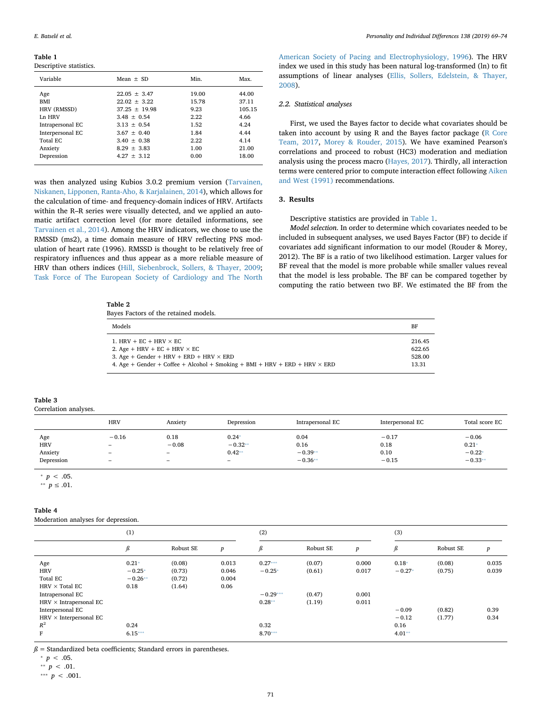<span id="page-2-0"></span>**Table 1**

Descriptive statistics.

| Variable         | Mean $\pm$ SD   | Min.  | Max.   |
|------------------|-----------------|-------|--------|
| Age              | $22.05 + 3.47$  | 19.00 | 44.00  |
| <b>BMI</b>       | $22.02 + 3.22$  | 15.78 | 37.11  |
| HRV (RMSSD)      | $37.25 + 19.98$ | 9.23  | 105.15 |
| Ln HRV           | $3.48 \pm 0.54$ | 2.22  | 4.66   |
| Intrapersonal EC | $3.13 \pm 0.54$ | 1.52  | 4.24   |
| Interpersonal EC | $3.67 \pm 0.40$ | 1.84  | 4.44   |
| Total EC         | $3.40 \pm 0.38$ | 2.22  | 4.14   |
| Anxiety          | $8.29 + 3.83$   | 1.00  | 21.00  |
| Depression       | $4.27 + 3.12$   | 0.00  | 18.00  |
|                  |                 |       |        |

was then analyzed using Kubios 3.0.2 premium version ([Tarvainen,](#page-5-12) [Niskanen, Lipponen, Ranta-Aho, & Karjalainen, 2014](#page-5-12)), which allows for the calculation of time- and frequency-domain indices of HRV. Artifacts within the R–R series were visually detected, and we applied an automatic artifact correction level (for more detailed informations, see [Tarvainen et al., 2014\)](#page-5-12). Among the HRV indicators, we chose to use the RMSSD (ms2), a time domain measure of HRV reflecting PNS modulation of heart rate (1996). RMSSD is thought to be relatively free of respiratory influences and thus appear as a more reliable measure of HRV than others indices ([Hill, Siebenbrock, Sollers, & Thayer, 2009](#page-4-24); [Task Force of The European Society of Cardiology and The North](#page-5-11)

#### <span id="page-2-6"></span>**Table 2**

Bayes Factors of the retained models.

[American Society of Pacing and Electrophysiology, 1996](#page-5-11)). The HRV index we used in this study has been natural log-transformed (ln) to fit assumptions of linear analyses ([Ellis, Sollers, Edelstein, & Thayer,](#page-4-25) [2008\)](#page-4-25).

#### *2.2. Statistical analyses*

First, we used the Bayes factor to decide what covariates should be taken into account by using R and the Bayes factor package ([R Core](#page-4-26) [Team, 2017](#page-4-26), [Morey & Rouder, 2015](#page-5-13)). We have examined Pearson's correlations and proceed to robust (HC3) moderation and mediation analysis using the process macro ([Hayes, 2017](#page-4-27)). Thirdly, all interaction terms were centered prior to compute interaction effect following [Aiken](#page-4-28) [and West \(1991\)](#page-4-28) recommendations.

## **3. Results**

Descriptive statistics are provided in [Table 1](#page-2-0).

*Model selection*. In order to determine which covariates needed to be included in subsequent analyses, we used Bayes Factor (BF) to decide if covariates add significant information to our model (Rouder & Morey, 2012). The BF is a ratio of two likelihood estimation. Larger values for BF reveal that the model is more probable while smaller values reveal that the model is less probable. The BF can be compared together by computing the ratio between two BF. We estimated the BF from the

| Models                                                                            | BF     |
|-----------------------------------------------------------------------------------|--------|
| 1. HRV + EC + HRV $\times$ EC                                                     | 216.45 |
| 2. Age + HRV + EC + HRV $\times$ EC                                               | 622.65 |
| 3. Age + Gender + HRV + ERD + HRV $\times$ ERD                                    | 528.00 |
| 4. Age + Gender + Coffee + Alcohol + Smoking + BMI + HRV + ERD + HRV $\times$ ERD | 13.31  |

<span id="page-2-7"></span>

| Table 3               |  |
|-----------------------|--|
| Correlation analyses. |  |

|            | <b>HRV</b> | Anxiety                  | Depression | Intrapersonal EC | Interpersonal EC | Total score EC |
|------------|------------|--------------------------|------------|------------------|------------------|----------------|
| Age        | $-0.16$    | 0.18                     | $0.24*$    | 0.04             | $-0.17$          | $-0.06$        |
| <b>HRV</b> | -          | $-0.08$                  | $-0.32**$  | 0.16             | 0.18             | $0.21*$        |
| Anxiety    | -          | $\overline{\phantom{a}}$ | $0.42**$   | $-0.39**$        | 0.10             | $-0.22*$       |
| Depression | -          | $\overline{\phantom{a}}$ | $\equiv$   | $-0.36**$        | $-0.15$          | $-0.33**$      |

<span id="page-2-1"></span> $p < .05$ .

<span id="page-2-2"></span><sup>∗</sup>*∗ p* ≤ .01.

## <span id="page-2-8"></span>**Table 4**

Moderation analyses for depression.

|                               | (1)       |           |                  | (2)        |           |                  | (3)      |           |       |
|-------------------------------|-----------|-----------|------------------|------------|-----------|------------------|----------|-----------|-------|
|                               | ß         | Robust SE | $\boldsymbol{p}$ | ß          | Robust SE | $\boldsymbol{p}$ | ß        | Robust SE | p     |
| Age                           | $0.21*$   | (0.08)    | 0.013            | $0.27***$  | (0.07)    | 0.000            | $0.18*$  | (0.08)    | 0.035 |
| <b>HRV</b>                    | $-0.25*$  | (0.73)    | 0.046            | $-0.25*$   | (0.61)    | 0.017            | $-0.27*$ | (0.75)    | 0.039 |
| Total EC                      | $-0.26**$ | (0.72)    | 0.004            |            |           |                  |          |           |       |
| $HRV \times Total EC$         | 0.18      | (1.64)    | 0.06             |            |           |                  |          |           |       |
| Intrapersonal EC              |           |           |                  | $-0.29***$ | (0.47)    | 0.001            |          |           |       |
| $HRV \times Intrapersonal EC$ |           |           |                  | $0.28**$   | (1.19)    | 0.011            |          |           |       |
| Interpersonal EC              |           |           |                  |            |           |                  | $-0.09$  | (0.82)    | 0.39  |
| $HRV \times Interpersonal EC$ |           |           |                  |            |           |                  | $-0.12$  | (1.77)    | 0.34  |
| $R^2$                         | 0.24      |           |                  | 0.32       |           |                  | 0.16     |           |       |
| F                             | $6.15***$ |           |                  | $8.70***$  |           |                  | $4.01**$ |           |       |

 $\beta$  = Standardized beta coefficients; Standard errors in parentheses.

<span id="page-2-3"></span> $^{\ast}$   $p$   $<$  .05.

<span id="page-2-5"></span>\*\*  $p < .01$ .

<span id="page-2-4"></span>⁎⁎⁎ *p* < .001.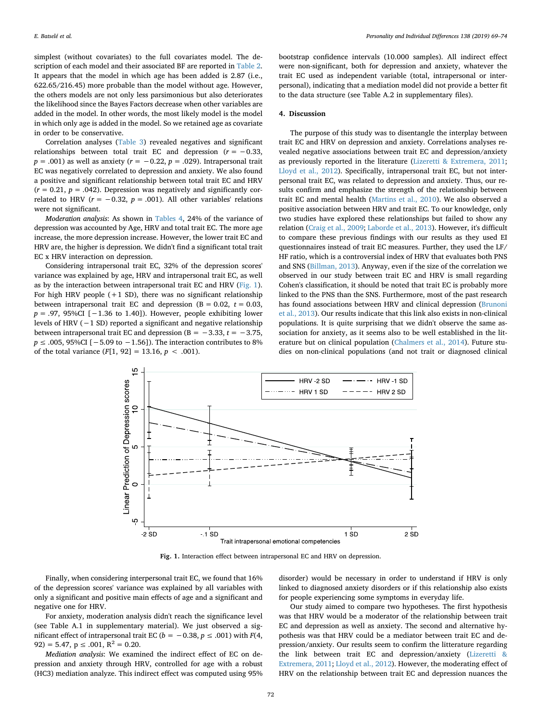simplest (without covariates) to the full covariates model. The description of each model and their associated BF are reported in [Table 2](#page-2-6). It appears that the model in which age has been added is 2.87 (i.e., 622.65/216.45) more probable than the model without age. However, the others models are not only less parsimonious but also deteriorates the likelihood since the Bayes Factors decrease when other variables are added in the model. In other words, the most likely model is the model in which only age is added in the model. So we retained age as covariate in order to be conservative.

Correlation analyses ([Table 3\)](#page-2-7) revealed negatives and significant relationships between total trait EC and depression  $(r = -0.33)$ , *p* = .001) as well as anxiety (*r* = −0.22, *p* = .029). Intrapersonal trait EC was negatively correlated to depression and anxiety. We also found a positive and significant relationship between total trait EC and HRV  $(r = 0.21, p = .042)$ . Depression was negatively and significantly correlated to HRV ( $r = -0.32$ ,  $p = .001$ ). All other variables' relations were not significant.

*Moderation analysis*: As shown in [Tables 4,](#page-2-8) 24% of the variance of depression was accounted by Age, HRV and total trait EC. The more age increase, the more depression increase. However, the lower trait EC and HRV are, the higher is depression. We didn't find a significant total trait EC x HRV interaction on depression.

Considering intrapersonal trait EC, 32% of the depression scores' variance was explained by age, HRV and intrapersonal trait EC, as well as by the interaction between intrapersonal trait EC and HRV [\(Fig. 1](#page-3-0)). For high HRV people  $(+1 S_D)$ , there was no significant relationship between intrapersonal trait EC and depression  $(B = 0.02, t = 0.03,$ *p* = .97, 95%CI [−1.36 to 1.40]). However, people exhibiting lower levels of HRV (−1 SD) reported a significant and negative relationship between intrapersonal trait EC and depression (B =  $-3.33$ ,  $t = -3.75$ , *p* ≤ .005, 95%CI [−5.09 to −1.56]). The interaction contributes to 8% of the total variance  $(F[1, 92] = 13.16, p < .001)$ .

bootstrap confidence intervals (10.000 samples). All indirect effect were non-significant, both for depression and anxiety, whatever the trait EC used as independent variable (total, intrapersonal or interpersonal), indicating that a mediation model did not provide a better fit to the data structure (see Table A.2 in supplementary files).

### **4. Discussion**

The purpose of this study was to disentangle the interplay between trait EC and HRV on depression and anxiety. Correlations analyses revealed negative associations between trait EC and depression/anxiety as previously reported in the literature [\(Lizeretti & Extremera, 2011](#page-4-6); [Lloyd et al., 2012](#page-4-7)). Specifically, intrapersonal trait EC, but not interpersonal trait EC, was related to depression and anxiety. Thus, our results confirm and emphasize the strength of the relationship between trait EC and mental health ([Martins et al., 2010\)](#page-4-5). We also observed a positive association between HRV and trait EC. To our knowledge, only two studies have explored these relationships but failed to show any relation [\(Craig et al., 2009;](#page-4-18) [Laborde et al., 2013\)](#page-4-19). However, it's difficult to compare these previous findings with our results as they used EI questionnaires instead of trait EC measures. Further, they used the LF/ HF ratio, which is a controversial index of HRV that evaluates both PNS and SNS ([Billman, 2013](#page-4-29)). Anyway, even if the size of the correlation we observed in our study between trait EC and HRV is small regarding Cohen's classification, it should be noted that trait EC is probably more linked to the PNS than the SNS. Furthermore, most of the past research has found associations between HRV and clinical depression [\(Brunoni](#page-4-13) [et al., 2013\)](#page-4-13). Our results indicate that this link also exists in non-clinical populations. It is quite surprising that we didn't observe the same association for anxiety, as it seems also to be well established in the literature but on clinical population ([Chalmers et al., 2014\)](#page-4-14). Future studies on non-clinical populations (and not trait or diagnosed clinical

<span id="page-3-0"></span>

**Fig. 1.** Interaction effect between intrapersonal EC and HRV on depression.

Finally, when considering interpersonal trait EC, we found that 16% of the depression scores' variance was explained by all variables with only a significant and positive main effects of age and a significant and negative one for HRV.

For anxiety, moderation analysis didn't reach the significance level (see Table A.1 in supplementary material). We just observed a significant effect of intrapersonal trait EC ( $b = −0.38$ ,  $p ≤ .001$ ) with  $F(4)$ , 92) = 5.47,  $p \le 0.001$ ,  $R^2 = 0.20$ .

*Mediation analysis*: We examined the indirect effect of EC on depression and anxiety through HRV, controlled for age with a robust (HC3) mediation analyze. This indirect effect was computed using 95% disorder) would be necessary in order to understand if HRV is only linked to diagnosed anxiety disorders or if this relationship also exists for people experiencing some symptoms in everyday life.

Our study aimed to compare two hypotheses. The first hypothesis was that HRV would be a moderator of the relationship between trait EC and depression as well as anxiety. The second and alternative hypothesis was that HRV could be a mediator between trait EC and depression/anxiety. Our results seem to confirm the litterature regarding the link between trait EC and depression/anxiety [\(Lizeretti &](#page-4-6) [Extremera, 2011](#page-4-6); [Lloyd et al., 2012](#page-4-7)). However, the moderating effect of HRV on the relationship between trait EC and depression nuances the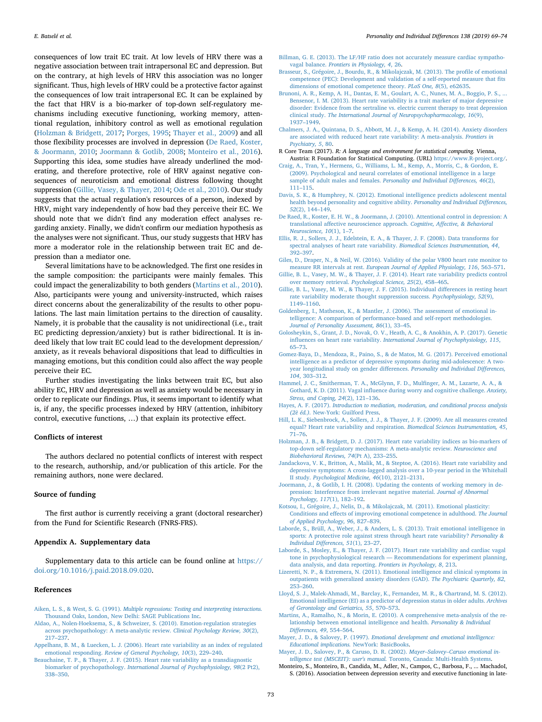consequences of low trait EC trait. At low levels of HRV there was a negative association between trait intrapersonal EC and depression. But on the contrary, at high levels of HRV this association was no longer significant. Thus, high levels of HRV could be a protective factor against the consequences of low trait intrapersonal EC. It can be explained by the fact that HRV is a bio-marker of top-down self-regulatory mechanisms including executive functioning, working memory, attentional regulation, inhibitory control as well as emotional regulation ([Holzman & Bridgett, 2017](#page-4-11); [Porges, 1995](#page-5-4); [Thayer et al., 2009](#page-5-7)) and all those flexibility processes are involved in depression ([De Raed, Koster,](#page-4-30) [& Joormann, 2010;](#page-4-30) [Joormann & Gotlib, 2008;](#page-4-31) [Monteiro et al., 2016](#page-4-32)). Supporting this idea, some studies have already underlined the moderating, and therefore protective, role of HRV against negative consequences of neuroticism and emotional distress following thought suppression ([Gillie, Vasey, & Thayer, 2014;](#page-4-33) [Ode et al., 2010\)](#page-5-9). Our study suggests that the actual regulation's resources of a person, indexed by HRV, might vary independently of how bad they perceive their EC. We should note that we didn't find any moderation effect analyses regarding anxiety. Finally, we didn't confirm our mediation hypothesis as the analyses were not significant. Thus, our study suggests that HRV has more a moderator role in the relationship between trait EC and depression than a mediator one.

Several limitations have to be acknowledged. The first one resides in the sample composition: the participants were mainly females. This could impact the generalizability to both genders ([Martins et al., 2010](#page-4-5)). Also, participants were young and university-instructed, which raises direct concerns about the generalizability of the results to other populations. The last main limitation pertains to the direction of causality. Namely, it is probable that the causality is not unidirectional (i.e., trait EC predicting depression/anxiety) but is rather bidirectional. It is indeed likely that low trait EC could lead to the development depression/ anxiety, as it reveals behavioral dispositions that lead to difficulties in managing emotions, but this condition could also affect the way people perceive their EC.

Further studies investigating the links between trait EC, but also ability EC, HRV and depression as well as anxiety would be necessary in order to replicate our findings. Plus, it seems important to identify what is, if any, the specific processes indexed by HRV (attention, inhibitory control, executive functions, …) that explain its protective effect.

#### **Conflicts of interest**

The authors declared no potential conflicts of interest with respect to the research, authorship, and/or publication of this article. For the remaining authors, none were declared.

## **Source of funding**

The first author is currently receiving a grant (doctoral researcher) from the Fund for Scientific Research (FNRS-FRS).

## **Appendix A. Supplementary data**

Supplementary data to this article can be found online at [https://](https://doi.org/10.1016/j.paid.2018.09.020) [doi.org/10.1016/j.paid.2018.09.020.](https://doi.org/10.1016/j.paid.2018.09.020)

## **References**

- <span id="page-4-28"></span>Aiken, L. S., & West, S. G. (1991). *[Multiple regressions: Testing and interpreting interactions.](http://refhub.elsevier.com/S0191-8869(18)30506-3/rf0005)* [Thousand Oaks, London, New Delhi: SAGE Publications Inc](http://refhub.elsevier.com/S0191-8869(18)30506-3/rf0005).
- <span id="page-4-10"></span>[Aldao, A., Nolen-Hoeksema, S., & Schweizer, S. \(2010\). Emotion-regulation strategies](http://refhub.elsevier.com/S0191-8869(18)30506-3/rf0010) [across psychopathology: A meta-analytic review.](http://refhub.elsevier.com/S0191-8869(18)30506-3/rf0010) *Clinical Psychology Review, 30*(2), [217–237](http://refhub.elsevier.com/S0191-8869(18)30506-3/rf0010).
- <span id="page-4-22"></span>[Appelhans, B. M., & Luecken, L. J. \(2006\). Heart rate variability as an index of regulated](http://refhub.elsevier.com/S0191-8869(18)30506-3/rf0015) emotional responding. *[Review of General Psychology, 10](http://refhub.elsevier.com/S0191-8869(18)30506-3/rf0015)*(3), 229–240.
- <span id="page-4-12"></span>[Beauchaine, T. P., & Thayer, J. F. \(2015\). Heart rate variability as a transdiagnostic](http://refhub.elsevier.com/S0191-8869(18)30506-3/rf0020) biomarker of psychopathology. *[International Journal of Psychophysiology, 98](http://refhub.elsevier.com/S0191-8869(18)30506-3/rf0020)*(2 Pt2), [338–350](http://refhub.elsevier.com/S0191-8869(18)30506-3/rf0020).
- <span id="page-4-29"></span>[Billman, G. E. \(2013\). The LF/HF ratio does not accurately measure cardiac sympatho](http://refhub.elsevier.com/S0191-8869(18)30506-3/rf0025)vagal balance. *[Frontiers in Physiology, 4](http://refhub.elsevier.com/S0191-8869(18)30506-3/rf0025)*, 26.
- <span id="page-4-2"></span>[Brasseur, S., Grégoire, J., Bourdu, R., & Mikolajczak, M. \(2013\). The profile of emotional](http://refhub.elsevier.com/S0191-8869(18)30506-3/rf0035) [competence \(PEC\): Development and validation of a self-reported measure that fits](http://refhub.elsevier.com/S0191-8869(18)30506-3/rf0035) [dimensions of emotional competence theory.](http://refhub.elsevier.com/S0191-8869(18)30506-3/rf0035) *PLoS One, 8*(5), e62635.
- <span id="page-4-13"></span>[Brunoni, A. R., Kemp, A. H., Dantas, E. M., Goulart, A. C., Nunes, M. A., Boggio, P. S., ...](http://refhub.elsevier.com/S0191-8869(18)30506-3/rf0040) [Bensenor, I. M. \(2013\). Heart rate variability is a trait marker of major depressive](http://refhub.elsevier.com/S0191-8869(18)30506-3/rf0040) [disorder: Evidence from the sertraline vs. electric current therapy to treat depression](http://refhub.elsevier.com/S0191-8869(18)30506-3/rf0040) clinical study. *[The International Journal of Neuropsychopharmacology, 16](http://refhub.elsevier.com/S0191-8869(18)30506-3/rf0040)*(9), [1937–1949](http://refhub.elsevier.com/S0191-8869(18)30506-3/rf0040).
- <span id="page-4-14"></span>[Chalmers, J. A., Quintana, D. S., Abbott, M. J., & Kemp, A. H. \(2014\). Anxiety disorders](http://refhub.elsevier.com/S0191-8869(18)30506-3/rf0045) [are associated with reduced heart rate variability: A meta-analysis.](http://refhub.elsevier.com/S0191-8869(18)30506-3/rf0045) *Frontiers in [Psychiatry, 5](http://refhub.elsevier.com/S0191-8869(18)30506-3/rf0045)*, 80.
- <span id="page-4-26"></span>R Core Team (2017). *R: A language and environment for statistical computing.* Vienna, Austria: R Foundation for Statistical Computing. (URL) [https://www.R-project.org/.](https://www.R-project.org/)
- <span id="page-4-18"></span>[Craig, A., Tran, Y., Hermens, G., Williams, L. M., Kemp, A., Morris, C., & Gordon, E.](http://refhub.elsevier.com/S0191-8869(18)30506-3/rf0055) [\(2009\). Psychological and neural correlates of emotional intelligence in a large](http://refhub.elsevier.com/S0191-8869(18)30506-3/rf0055) [sample of adult males and females.](http://refhub.elsevier.com/S0191-8869(18)30506-3/rf0055) *Personality and Individual Differences, 46*(2), [111–115](http://refhub.elsevier.com/S0191-8869(18)30506-3/rf0055).
- <span id="page-4-8"></span>[Davis, S. K., & Humphrey, N. \(2012\). Emotional intelligence predicts adolescent mental](http://refhub.elsevier.com/S0191-8869(18)30506-3/rf0060) [health beyond personality and cognitive ability.](http://refhub.elsevier.com/S0191-8869(18)30506-3/rf0060) *Personality and Individual Differences, 52*[\(2\), 144–149.](http://refhub.elsevier.com/S0191-8869(18)30506-3/rf0060)
- <span id="page-4-30"></span>[De Raed, R., Koster, E. H. W., & Joormann, J. \(2010\). Attentional control in depression: A](http://refhub.elsevier.com/S0191-8869(18)30506-3/rf0065) translational aff[ective neuroscience approach.](http://refhub.elsevier.com/S0191-8869(18)30506-3/rf0065) *Cognitive, Affective, & Behavioral [Neuroscience, 10](http://refhub.elsevier.com/S0191-8869(18)30506-3/rf0065)*(1), 1–7.
- <span id="page-4-25"></span>[Ellis, R. J., Sollers, J. J., Edelstein, E. A., & Thayer, J. F. \(2008\). Data transforms for](http://refhub.elsevier.com/S0191-8869(18)30506-3/rf0070) [spectral analyses of heart rate variability.](http://refhub.elsevier.com/S0191-8869(18)30506-3/rf0070) *Biomedical Sciences Instrumentation, 44*, [392–397](http://refhub.elsevier.com/S0191-8869(18)30506-3/rf0070).
- <span id="page-4-23"></span>[Giles, D., Draper, N., & Neil, W. \(2016\). Validity of the polar V800 heart rate monitor to](http://refhub.elsevier.com/S0191-8869(18)30506-3/rf0075) measure RR intervals at rest. *[European Journal of Applied Physiology, 116](http://refhub.elsevier.com/S0191-8869(18)30506-3/rf0075)*, 563–571.
- <span id="page-4-33"></span>[Gillie, B. L., Vasey, M. W., & Thayer, J. F. \(2014\). Heart rate variability predicts control](http://refhub.elsevier.com/S0191-8869(18)30506-3/rf0080) over memory retrieval. *[Psychological Science, 25](http://refhub.elsevier.com/S0191-8869(18)30506-3/rf0080)*(2), 458–465.
- <span id="page-4-21"></span>[Gillie, B. L., Vasey, M. W., & Thayer, J. F. \(2015\). Individual di](http://refhub.elsevier.com/S0191-8869(18)30506-3/rf9000)fferences in resting heart [rate variability moderate thought suppression success.](http://refhub.elsevier.com/S0191-8869(18)30506-3/rf9000) *Psychophysiology, 52*(9), [1149–1160](http://refhub.elsevier.com/S0191-8869(18)30506-3/rf9000).
- <span id="page-4-4"></span>[Goldenberg, I., Matheson, K., & Mantler, J. \(2006\). The assessment of emotional in](http://refhub.elsevier.com/S0191-8869(18)30506-3/rf0085)[telligence: A comparison of performance-based and self-report methodologies.](http://refhub.elsevier.com/S0191-8869(18)30506-3/rf0085) *[Journal of Personality Assessment, 86](http://refhub.elsevier.com/S0191-8869(18)30506-3/rf0085)*(1), 33–45.
- <span id="page-4-16"></span>[Golosheykin, S., Grant, J. D., Novak, O. V., Heath, A. C., & Anokhin, A. P. \(2017\). Genetic](http://refhub.elsevier.com/S0191-8869(18)30506-3/rf0090) influences on heart rate variability. *[International Journal of Psychophysiology, 115](http://refhub.elsevier.com/S0191-8869(18)30506-3/rf0090)*, [65–73](http://refhub.elsevier.com/S0191-8869(18)30506-3/rf0090).
- <span id="page-4-9"></span>[Gomez-Baya, D., Mendoza, R., Paino, S., & de Matos, M. G. \(2017\). Perceived emotional](http://refhub.elsevier.com/S0191-8869(18)30506-3/rf0095) [intelligence as a predictor of depressive symptoms during mid-adolescence: A two](http://refhub.elsevier.com/S0191-8869(18)30506-3/rf0095)[year longitudinal study on gender di](http://refhub.elsevier.com/S0191-8869(18)30506-3/rf0095)fferences. *Personality and Individual Differences, 104*[, 303–312.](http://refhub.elsevier.com/S0191-8869(18)30506-3/rf0095)
- <span id="page-4-17"></span>[Hammel, J. C., Smitherman, T. A., McGlynn, F. D., Mulfinger, A. M., Lazarte, A. A., &](http://refhub.elsevier.com/S0191-8869(18)30506-3/rf0100) [Gothard, K. D. \(2011\). Vagal influence during worry and cognitive challenge.](http://refhub.elsevier.com/S0191-8869(18)30506-3/rf0100) *Anxiety, [Stress, and Coping, 24](http://refhub.elsevier.com/S0191-8869(18)30506-3/rf0100)*(2), 121–136.
- <span id="page-4-27"></span>Hayes, A. F. (2017). *[Introduction to mediation, moderation, and conditional process analysis](http://refhub.elsevier.com/S0191-8869(18)30506-3/rf0105) (2è éd.).* [New-York: Guilford Press](http://refhub.elsevier.com/S0191-8869(18)30506-3/rf0105).
- <span id="page-4-24"></span>[Hill, L. K., Siebenbrock, A., Sollers, J. J., & Thayer, J. F. \(2009\). Are all measures created](http://refhub.elsevier.com/S0191-8869(18)30506-3/rf0110) [equal? Heart rate variability and respiration.](http://refhub.elsevier.com/S0191-8869(18)30506-3/rf0110) *Biomedical Sciences Instrumentation, 45*, [71–76](http://refhub.elsevier.com/S0191-8869(18)30506-3/rf0110).
- <span id="page-4-11"></span>[Holzman, J. B., & Bridgett, D. J. \(2017\). Heart rate variability indices as bio-markers of](http://refhub.elsevier.com/S0191-8869(18)30506-3/rf0115) [top-down self-regulatory mechanisms: A meta-analytic review.](http://refhub.elsevier.com/S0191-8869(18)30506-3/rf0115) *Neuroscience and [Biobehavioral Reviews, 74](http://refhub.elsevier.com/S0191-8869(18)30506-3/rf0115)*(Pt A), 233–255.
- <span id="page-4-15"></span>[Jandackova, V. K., Britton, A., Malik, M., & Steptoe, A. \(2016\). Heart rate variability and](http://refhub.elsevier.com/S0191-8869(18)30506-3/rf0120) [depressive symptoms: A cross-lagged analysis over a 10-year period in the Whitehall](http://refhub.elsevier.com/S0191-8869(18)30506-3/rf0120) II study. *[Psychological Medicine, 46](http://refhub.elsevier.com/S0191-8869(18)30506-3/rf0120)*(10), 2121–2131.
- <span id="page-4-31"></span>[Joormann, J., & Gotlib, I. H. \(2008\). Updating the contents of working memory in de](http://refhub.elsevier.com/S0191-8869(18)30506-3/rf0125)[pression: Interference from irrelevant negative material.](http://refhub.elsevier.com/S0191-8869(18)30506-3/rf0125) *Journal of Abnormal [Psychology, 117](http://refhub.elsevier.com/S0191-8869(18)30506-3/rf0125)*(1), 182–192.
- <span id="page-4-1"></span>[Kotsou, I., Grégoire, J., Nelis, D., & Mikolajczak, M. \(2011\). Emotional plasticity:](http://refhub.elsevier.com/S0191-8869(18)30506-3/rf0130) Conditions and eff[ects of improving emotional competence in adulthood.](http://refhub.elsevier.com/S0191-8869(18)30506-3/rf0130) *The Journal [of Applied Psychology, 96](http://refhub.elsevier.com/S0191-8869(18)30506-3/rf0130)*, 827–839.
- <span id="page-4-19"></span>[Laborde, S., Brüll, A., Weber, J., & Anders, L. S. \(2013\). Trait emotional intelligence in](http://refhub.elsevier.com/S0191-8869(18)30506-3/rf0135) [sports: A protective role against stress through heart rate variability?](http://refhub.elsevier.com/S0191-8869(18)30506-3/rf0135) *Personality & [Individual Di](http://refhub.elsevier.com/S0191-8869(18)30506-3/rf0135)fferences, 51*(1), 23–27.
- <span id="page-4-20"></span>[Laborde, S., Mosley, E., & Thayer, J. F. \(2017\). Heart rate variability and cardiac vagal](http://refhub.elsevier.com/S0191-8869(18)30506-3/rf0140) [tone in psychophysiological research — Recommendations for experiment planning,](http://refhub.elsevier.com/S0191-8869(18)30506-3/rf0140) [data analysis, and data reporting.](http://refhub.elsevier.com/S0191-8869(18)30506-3/rf0140) *Frontiers in Psychology, 8*, 213.
- <span id="page-4-6"></span>[Lizeretti, N. P., & Extremera, N. \(2011\). Emotional intelligence and clinical symptoms in](http://refhub.elsevier.com/S0191-8869(18)30506-3/rf0145) [outpatients with generalized anxiety disorders \(GAD\).](http://refhub.elsevier.com/S0191-8869(18)30506-3/rf0145) *The Psychiatric Quarterly, 82*, [253–260](http://refhub.elsevier.com/S0191-8869(18)30506-3/rf0145).
- <span id="page-4-7"></span>[Lloyd, S. J., Malek-Ahmadi, M., Barclay, K., Fernandez, M. R., & Chartrand, M. S. \(2012\).](http://refhub.elsevier.com/S0191-8869(18)30506-3/rf0150) [Emotional intelligence \(EI\) as a predictor of depression status in older adults.](http://refhub.elsevier.com/S0191-8869(18)30506-3/rf0150) *Archives [of Gerontology and Geriatrics, 55](http://refhub.elsevier.com/S0191-8869(18)30506-3/rf0150)*, 570–573.
- <span id="page-4-5"></span>[Martins, A., Ramalho, N., & Morin, E. \(2010\). A comprehensive meta-analysis of the re](http://refhub.elsevier.com/S0191-8869(18)30506-3/rf0155)[lationship between emotional intelligence and health.](http://refhub.elsevier.com/S0191-8869(18)30506-3/rf0155) *Personality & Individual Diff[erences, 49](http://refhub.elsevier.com/S0191-8869(18)30506-3/rf0155)*, 554–564.
- <span id="page-4-0"></span>Mayer, J. D., & Salovey, P. (1997). *[Emotional development and emotional intelligence:](http://refhub.elsevier.com/S0191-8869(18)30506-3/rf0160) [Educational implications.](http://refhub.elsevier.com/S0191-8869(18)30506-3/rf0160)* NewYork: BasicBooks.
- <span id="page-4-3"></span>[Mayer, J. D., Salovey, P., & Caruso, D. R. \(2002\).](http://refhub.elsevier.com/S0191-8869(18)30506-3/rf0165) *Mayer–Salovey–Caruso emotional intelligence test (MSCEIT): user's manual.* [Toronto, Canada: Multi-Health Systems.](http://refhub.elsevier.com/S0191-8869(18)30506-3/rf0165)
- <span id="page-4-32"></span>Monteiro, S., Monteiro, B., Candida, M., Adler, N., Campos, C., Barbosa, F., ... MachadoI, S. (2016). Association between depression severity and executive functioning in late-